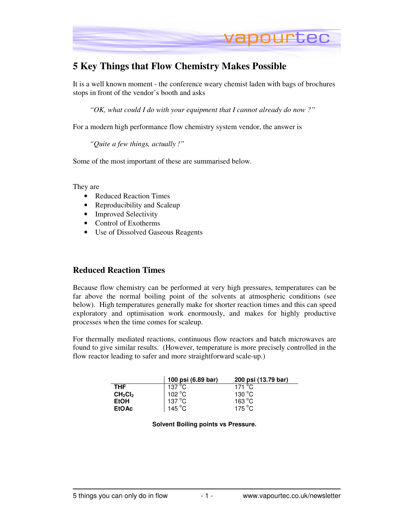

# **5 Key Things that Flow Chemistry Makes Possible**

It is a well known moment - the conference weary chemist laden with bags of brochures stops in front of the vendor's booth and asks

*"OK, what could I do with your equipment that I cannot already do now ?"* 

For a modern high performance flow chemistry system vendor, the answer is

*"Quite a few things, actually !"* 

Some of the most important of these are summarised below.

They are

- Reduced Reaction Times
- Reproducibility and Scaleup
- Improved Selectivity
- Control of Exotherms
- Use of Dissolved Gaseous Reagents

#### **Reduced Reaction Times**

Because flow chemistry can be performed at very high pressures, temperatures can be far above the normal boiling point of the solvents at atmospheric conditions (see below). High temperatures generally make for shorter reaction times and this can speed exploratory and optimisation work enormously, and makes for highly productive processes when the time comes for scaleup.

For thermally mediated reactions, continuous flow reactors and batch microwaves are found to give similar results. (However, temperature is more precisely controlled in the flow reactor leading to safer and more straightforward scale-up.)

|                                 | 100 psi (6.89 bar)          | 200 psi (13.79 bar)      |
|---------------------------------|-----------------------------|--------------------------|
| <b>THF</b>                      | 137 $\mathrm{^o}\mathrm{C}$ | 171 $\mathrm{^{\circ}C}$ |
| CH <sub>2</sub> Cl <sub>2</sub> | 102 °C                      | 130 $\degree$ C          |
| <b>EtOH</b>                     | $137^{\circ}$ C             | 163 °C                   |
| <b>EtOAc</b>                    | 145 °C                      | 175 °C                   |

**Solvent Boiling points vs Pressure.**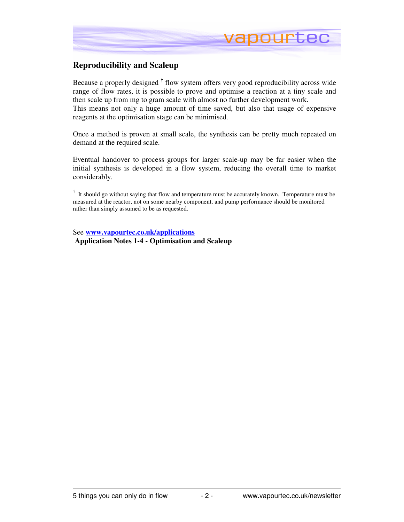

### **Reproducibility and Scaleup**

Because a properly designed **†** flow system offers very good reproducibility across wide range of flow rates, it is possible to prove and optimise a reaction at a tiny scale and then scale up from mg to gram scale with almost no further development work. This means not only a huge amount of time saved, but also that usage of expensive reagents at the optimisation stage can be minimised.

Once a method is proven at small scale, the synthesis can be pretty much repeated on demand at the required scale.

Eventual handover to process groups for larger scale-up may be far easier when the initial synthesis is developed in a flow system, reducing the overall time to market considerably.

**†** It should go without saying that flow and temperature must be accurately known. Temperature must be measured at the reactor, not on some nearby component, and pump performance should be monitored rather than simply assumed to be as requested.

See **www.vapourtec.co.uk/applications Application Notes 1-4 - Optimisation and Scaleup**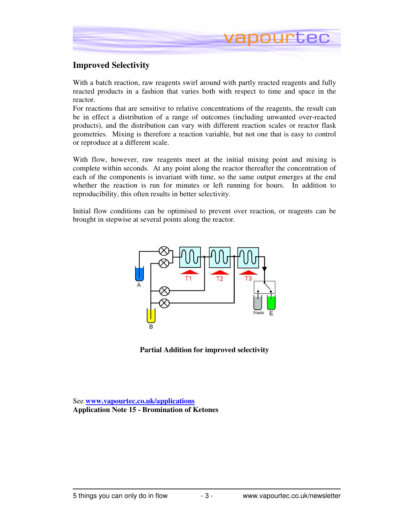

### **Improved Selectivity**

With a batch reaction, raw reagents swirl around with partly reacted reagents and fully reacted products in a fashion that varies both with respect to time and space in the reactor.

For reactions that are sensitive to relative concentrations of the reagents, the result can be in effect a distribution of a range of outcomes (including unwanted over-reacted products), and the distribution can vary with different reaction scales or reactor flask geometries. Mixing is therefore a reaction variable, but not one that is easy to control or reproduce at a different scale.

With flow, however, raw reagents meet at the initial mixing point and mixing is complete within seconds. At any point along the reactor thereafter the concentration of each of the components is invariant with time, so the same output emerges at the end whether the reaction is run for minutes or left running for hours. In addition to reproducibility, this often results in better selectivity.

Initial flow conditions can be optimised to prevent over reaction, or reagents can be brought in stepwise at several points along the reactor.



**Partial Addition for improved selectivity** 

See **www.vapourtec.co.uk/applications Application Note 15 - Bromination of Ketones**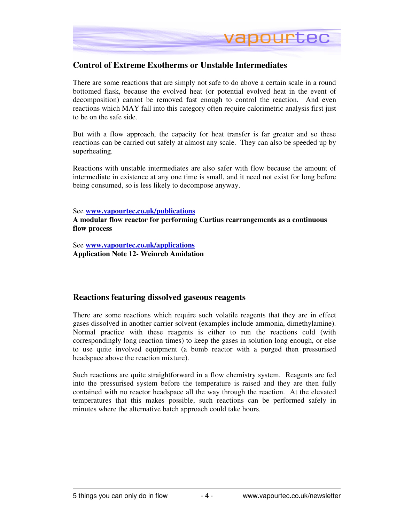

### **Control of Extreme Exotherms or Unstable Intermediates**

There are some reactions that are simply not safe to do above a certain scale in a round bottomed flask, because the evolved heat (or potential evolved heat in the event of decomposition) cannot be removed fast enough to control the reaction. And even reactions which MAY fall into this category often require calorimetric analysis first just to be on the safe side.

But with a flow approach, the capacity for heat transfer is far greater and so these reactions can be carried out safely at almost any scale. They can also be speeded up by superheating.

Reactions with unstable intermediates are also safer with flow because the amount of intermediate in existence at any one time is small, and it need not exist for long before being consumed, so is less likely to decompose anyway.

See **www.vapourtec.co.uk/publications**

**A modular flow reactor for performing Curtius rearrangements as a continuous flow process** 

See **www.vapourtec.co.uk/applications Application Note 12- Weinreb Amidation** 

#### **Reactions featuring dissolved gaseous reagents**

There are some reactions which require such volatile reagents that they are in effect gases dissolved in another carrier solvent (examples include ammonia, dimethylamine). Normal practice with these reagents is either to run the reactions cold (with correspondingly long reaction times) to keep the gases in solution long enough, or else to use quite involved equipment (a bomb reactor with a purged then pressurised headspace above the reaction mixture).

Such reactions are quite straightforward in a flow chemistry system. Reagents are fed into the pressurised system before the temperature is raised and they are then fully contained with no reactor headspace all the way through the reaction. At the elevated temperatures that this makes possible, such reactions can be performed safely in minutes where the alternative batch approach could take hours.